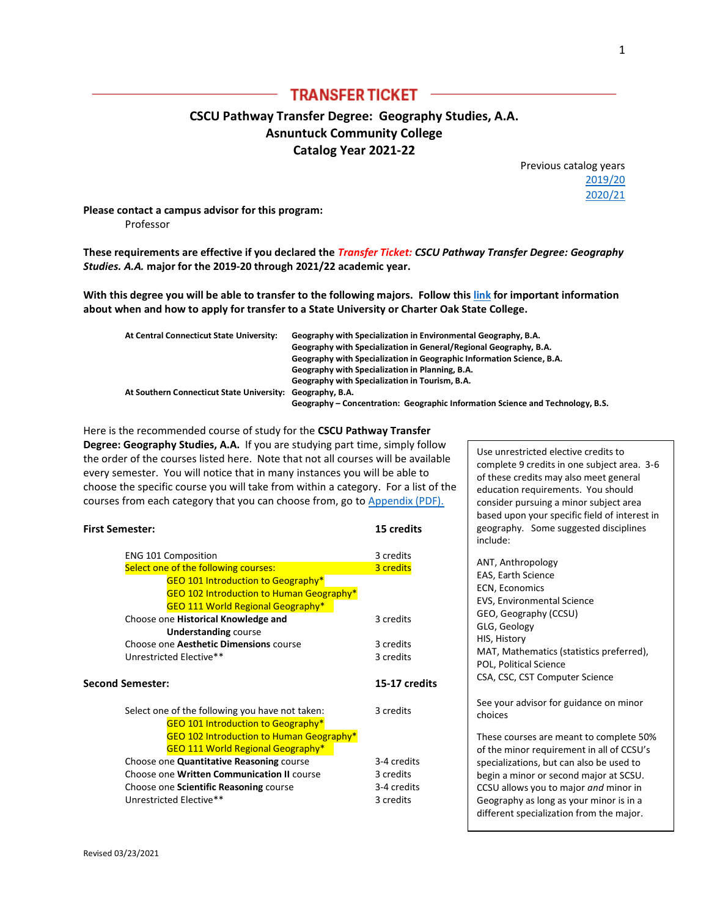# **TRANSFER TICKET -**

# **CSCU Pathway Transfer Degree: Geography Studies, A.A. Asnuntuck Community College Catalog Year 2021-22**

Previous catalog years [2019/20](http://www.ct.edu/files/tap/geography.ACC.2019.pdf) [2020/21](http://www.ct.edu/files/tap/geography.ACC.2020.pdf)

**Please contact a campus advisor for this program:**  Professor

**These requirements are effective if you declared the** *Transfer Ticket: CSCU Pathway Transfer Degree: Geography Studies. A.A.* **major for the 2019-20 through 2021/22 academic year.**

**With this degree you will be able to transfer to the following majors. Follow thi[s link](http://www.ct.edu/files/pdfs/Timeline%20for%20Priority%20Registration.pdf) for important information about when and how to apply for transfer to a State University or Charter Oak State College.**

| At Central Connecticut State University:                  | Geography with Specialization in Environmental Geography, B.A.                 |
|-----------------------------------------------------------|--------------------------------------------------------------------------------|
|                                                           | Geography with Specialization in General/Regional Geography, B.A.              |
|                                                           | Geography with Specialization in Geographic Information Science, B.A.          |
|                                                           | Geography with Specialization in Planning, B.A.                                |
|                                                           | Geography with Specialization in Tourism, B.A.                                 |
| At Southern Connecticut State University: Geography, B.A. |                                                                                |
|                                                           | Geography – Concentration: Geographic Information Science and Technology, B.S. |

Here is the recommended course of study for the **CSCU Pathway Transfer Degree: Geography Studies, A.A.** If you are studying part time, simply follow the order of the courses listed here. Note that not all courses will be available every semester. You will notice that in many instances you will be able to choose the specific course you will take from within a category. For a list of the courses from each category that you can choose from, go to [Appendix \(PDF\).](http://www.ct.edu/files/tap/ACC-Appendix-1.pdf)

| <b>First Semester:</b> |                                                 | 15 credits    |  |
|------------------------|-------------------------------------------------|---------------|--|
|                        | <b>ENG 101 Composition</b>                      | 3 credits     |  |
|                        | Select one of the following courses:            | 3 credits     |  |
|                        | <b>GEO 101 Introduction to Geography*</b>       |               |  |
|                        | <b>GEO 102 Introduction to Human Geography*</b> |               |  |
|                        | <b>GEO 111 World Regional Geography*</b>        |               |  |
|                        | Choose one Historical Knowledge and             | 3 credits     |  |
|                        | <b>Understanding course</b>                     |               |  |
|                        | Choose one Aesthetic Dimensions course          | 3 credits     |  |
|                        | Unrestricted Elective**                         | 3 credits     |  |
|                        | Second Semester:                                | 15-17 credits |  |
|                        | Select one of the following you have not taken: | 3 credits     |  |
|                        | <b>GEO 101 Introduction to Geography*</b>       |               |  |
|                        | GEO 102 Introduction to Human Geography*        |               |  |
|                        | <b>GEO 111 World Regional Geography*</b>        |               |  |
|                        | Choose one Quantitative Reasoning course        | 3-4 credits   |  |
|                        | Choose one Written Communication II course      |               |  |
|                        |                                                 | 3 credits     |  |
|                        | Choose one Scientific Reasoning course          | 3-4 credits   |  |
|                        | Unrestricted Elective**                         | 3 credits     |  |

Use unrestricted elective credits to complete 9 credits in one subject area. 3-6 of these credits may also meet general education requirements. You should consider pursuing a minor subject area based upon your specific field of interest in geography. Some suggested disciplines include:

| ANT, Anthropology<br><b>EAS, Earth Science</b><br><b>ECN, Economics</b><br>EVS, Environmental Science<br>GEO, Geography (CCSU)<br>GLG, Geology<br>HIS, History<br>MAT, Mathematics (statistics preferred),<br>POL, Political Science<br>CSA, CSC, CST Computer Science                                     |
|------------------------------------------------------------------------------------------------------------------------------------------------------------------------------------------------------------------------------------------------------------------------------------------------------------|
| See your advisor for guidance on minor<br>choices                                                                                                                                                                                                                                                          |
| These courses are meant to complete 50%<br>of the minor requirement in all of CCSU's<br>specializations, but can also be used to<br>begin a minor or second major at SCSU.<br>CCSU allows you to major and minor in<br>Geography as long as your minor is in a<br>different specialization from the major. |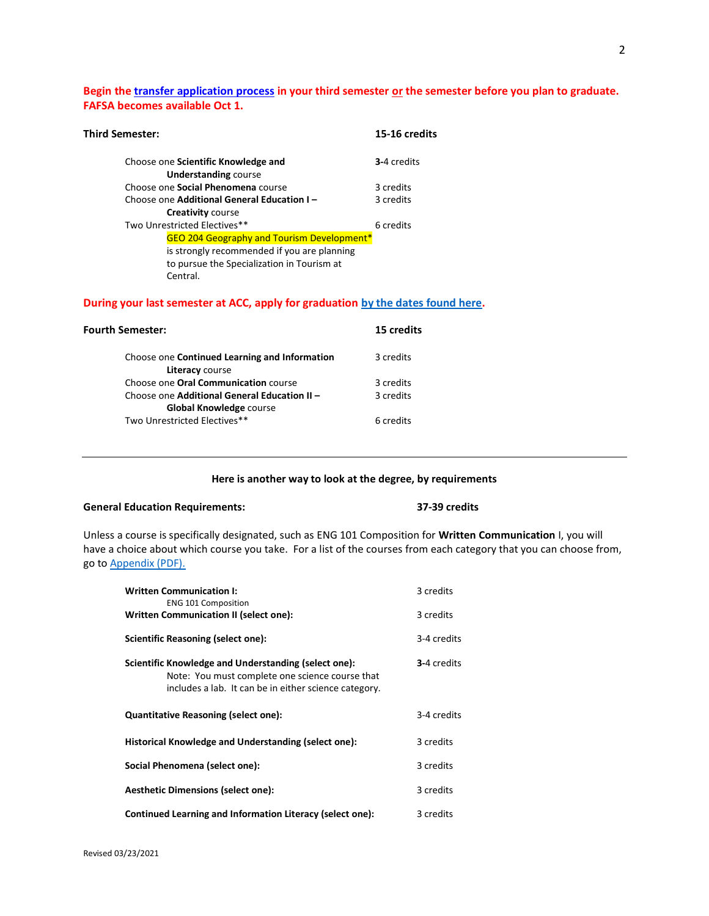## **Begin th[e transfer application process](http://www.ct.edu/files/pdfs/Timeline%20for%20Priority%20Registration.pdf) in your third semester or the semester before you plan to graduate. FAFSA becomes available Oct 1.**

| Third Semester: |                                                                    | 15-16 credits |
|-----------------|--------------------------------------------------------------------|---------------|
|                 | Choose one Scientific Knowledge and<br><b>Understanding course</b> | 3-4 credits   |
|                 | Choose one Social Phenomena course                                 | 3 credits     |
|                 | Choose one Additional General Education I-                         | 3 credits     |
|                 | <b>Creativity course</b>                                           |               |
|                 | Two Unrestricted Electives**                                       | 6 credits     |
|                 | <b>GEO 204 Geography and Tourism Development*</b>                  |               |
|                 | is strongly recommended if you are planning                        |               |
|                 | to pursue the Specialization in Tourism at<br>Central.             |               |

### **During your last semester at ACC, apply for graduation [by the dates found here.](http://www.asnuntuck.edu/graduation)**

| Fourth Semester:                                                               | 15 credits |
|--------------------------------------------------------------------------------|------------|
| Choose one Continued Learning and Information<br>Literacy course               | 3 credits  |
| Choose one <b>Oral Communication</b> course                                    | 3 credits  |
| Choose one Additional General Education II -<br><b>Global Knowledge course</b> | 3 credits  |
| Two Unrestricted Electives**                                                   | 6 credits  |

#### **Here is another way to look at the degree, by requirements**

## **General Education Requirements: 37-39 credits**

Unless a course is specifically designated, such as ENG 101 Composition for **Written Communication** I, you will have a choice about which course you take. For a list of the courses from each category that you can choose from, go to [Appendix \(PDF\).](http://www.ct.edu/files/tap/ACC-Appendix-1.pdf)

| <b>Written Communication I:</b><br><b>ENG 101 Composition</b>                                                                                                    | 3 credits   |
|------------------------------------------------------------------------------------------------------------------------------------------------------------------|-------------|
| Written Communication II (select one):                                                                                                                           | 3 credits   |
| Scientific Reasoning (select one):                                                                                                                               | 3-4 credits |
| Scientific Knowledge and Understanding (select one):<br>Note: You must complete one science course that<br>includes a lab. It can be in either science category. | 3-4 credits |
| <b>Quantitative Reasoning (select one):</b>                                                                                                                      | 3-4 credits |
| Historical Knowledge and Understanding (select one):                                                                                                             | 3 credits   |
| Social Phenomena (select one):                                                                                                                                   | 3 credits   |
| <b>Aesthetic Dimensions (select one):</b>                                                                                                                        | 3 credits   |
| Continued Learning and Information Literacy (select one):                                                                                                        | 3 credits   |